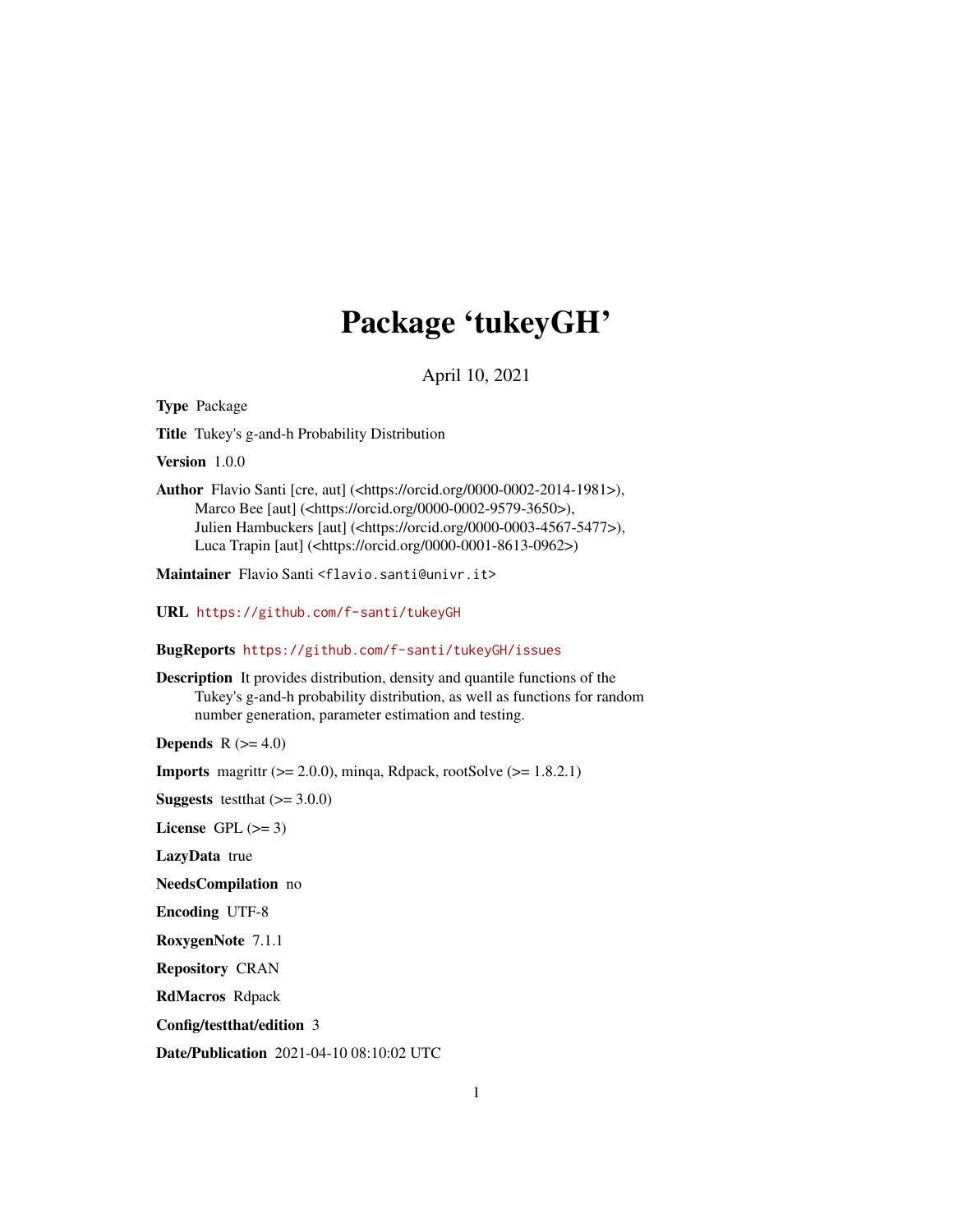# Package 'tukeyGH'

April 10, 2021

<span id="page-0-0"></span>Type Package

Title Tukey's g-and-h Probability Distribution

Version 1.0.0

Author Flavio Santi [cre, aut] (<https://orcid.org/0000-0002-2014-1981>), Marco Bee [aut] (<https://orcid.org/0000-0002-9579-3650>), Julien Hambuckers [aut] (<https://orcid.org/0000-0003-4567-5477>), Luca Trapin [aut] (<https://orcid.org/0000-0001-8613-0962>)

Maintainer Flavio Santi <flavio.santi@univr.it>

URL <https://github.com/f-santi/tukeyGH>

BugReports <https://github.com/f-santi/tukeyGH/issues>

Description It provides distribution, density and quantile functions of the Tukey's g-and-h probability distribution, as well as functions for random number generation, parameter estimation and testing.

Depends  $R$  ( $>= 4.0$ )

**Imports** magrittr  $(>= 2.0.0)$ , minqa, Rdpack, rootSolve  $(>= 1.8.2.1)$ 

**Suggests** test that  $(>= 3.0.0)$ 

License GPL  $(>= 3)$ 

LazyData true

NeedsCompilation no

Encoding UTF-8

RoxygenNote 7.1.1

Repository CRAN

RdMacros Rdpack

Config/testthat/edition 3

Date/Publication 2021-04-10 08:10:02 UTC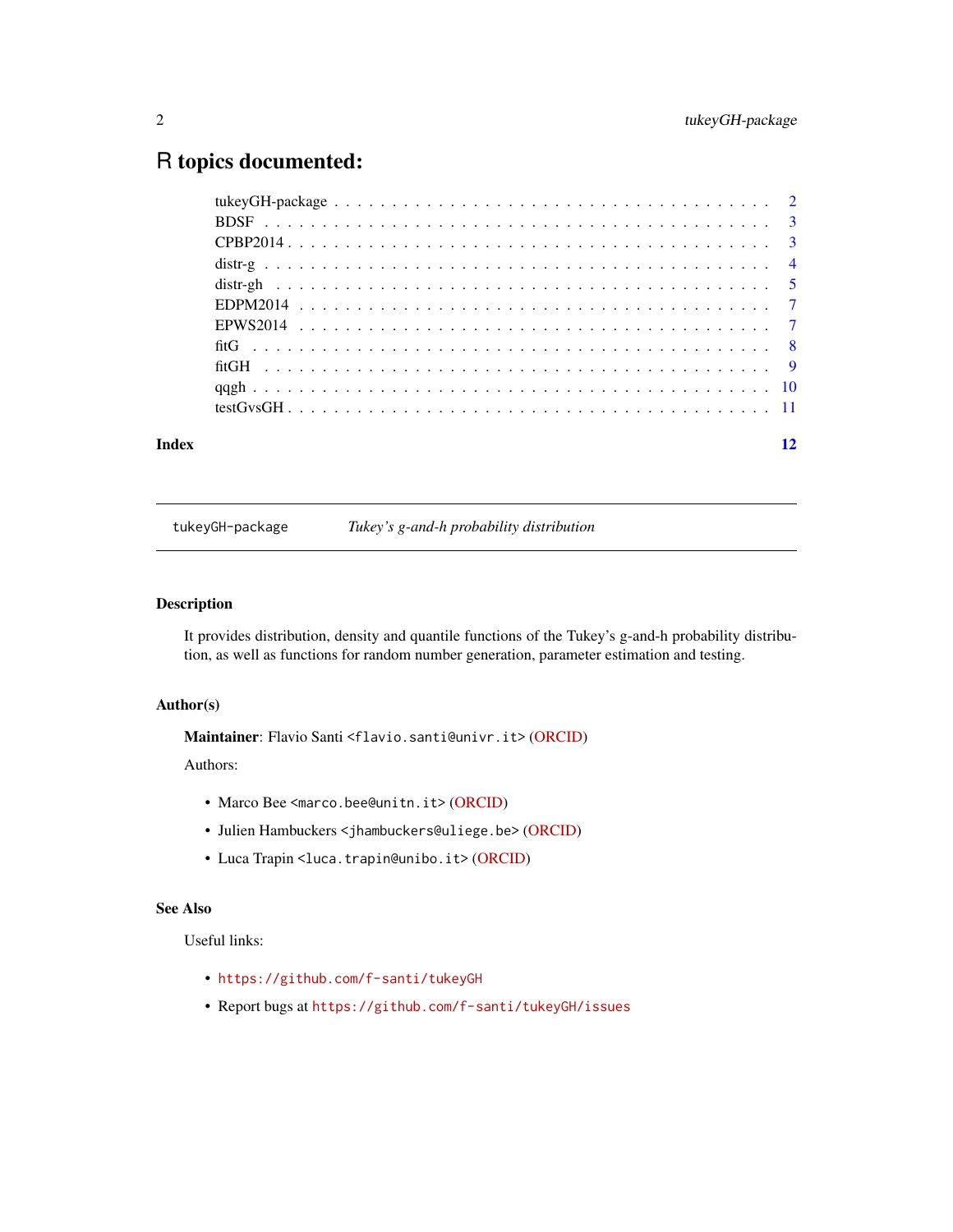# <span id="page-1-0"></span>R topics documented:

| Index |  |  |  |  |  |  |  |  |  |  |  |  |  |  |  |  |  | 12 |
|-------|--|--|--|--|--|--|--|--|--|--|--|--|--|--|--|--|--|----|

tukeyGH-package *Tukey's g-and-h probability distribution*

# Description

It provides distribution, density and quantile functions of the Tukey's g-and-h probability distribution, as well as functions for random number generation, parameter estimation and testing.

## Author(s)

Maintainer: Flavio Santi <flavio.santi@univr.it> [\(ORCID\)](https://orcid.org/0000-0002-2014-1981)

#### Authors:

- Marco Bee <marco.bee@unitn.it> [\(ORCID\)](https://orcid.org/0000-0002-9579-3650)
- Julien Hambuckers <jhambuckers@uliege.be> [\(ORCID\)](https://orcid.org/0000-0003-4567-5477)
- Luca Trapin <luca.trapin@unibo.it> [\(ORCID\)](https://orcid.org/0000-0001-8613-0962)

### See Also

Useful links:

- <https://github.com/f-santi/tukeyGH>
- Report bugs at <https://github.com/f-santi/tukeyGH/issues>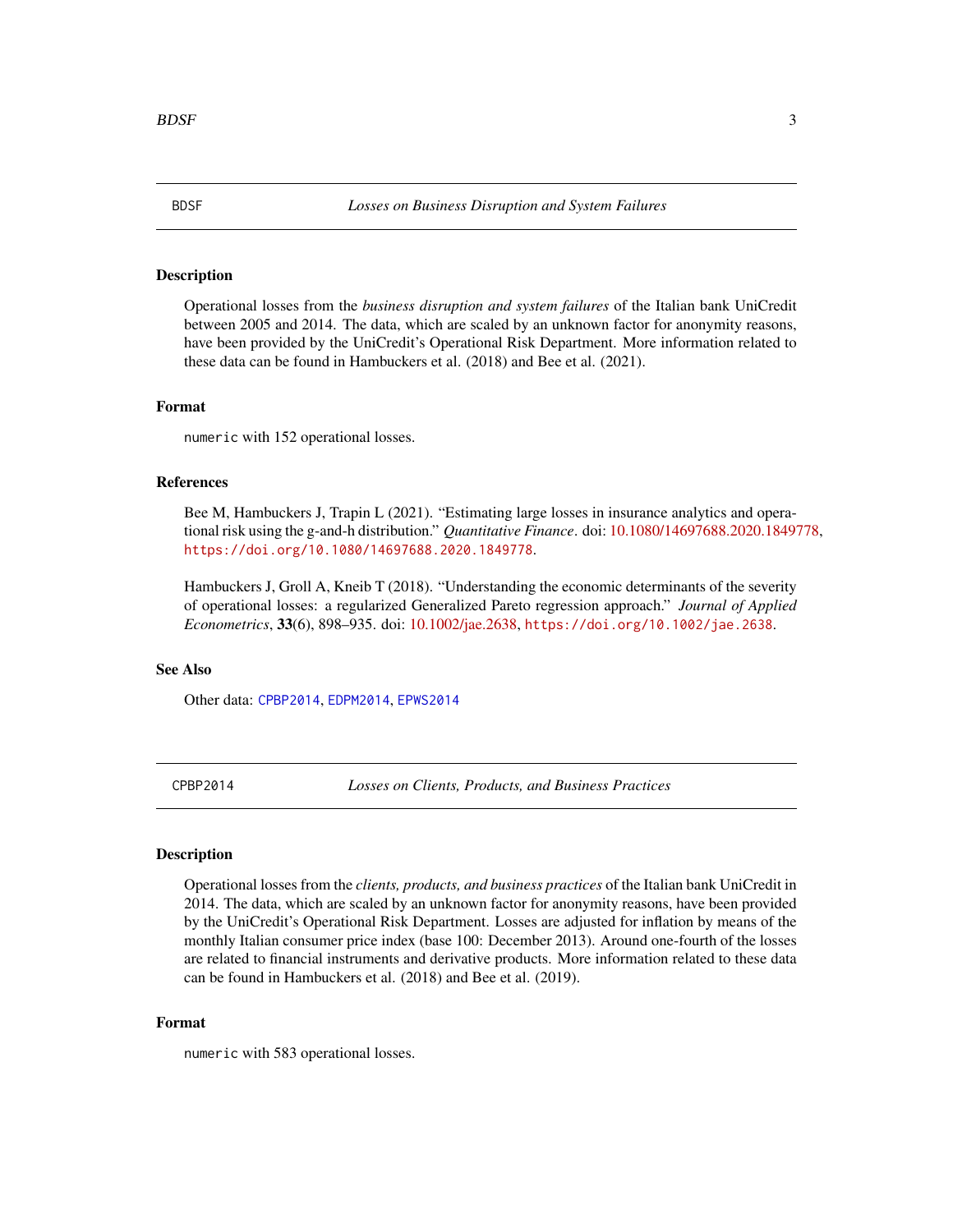<span id="page-2-2"></span><span id="page-2-0"></span>

#### Description

Operational losses from the *business disruption and system failures* of the Italian bank UniCredit between 2005 and 2014. The data, which are scaled by an unknown factor for anonymity reasons, have been provided by the UniCredit's Operational Risk Department. More information related to these data can be found in Hambuckers et al. (2018) and Bee et al. (2021).

#### Format

numeric with 152 operational losses.

#### References

Bee M, Hambuckers J, Trapin L (2021). "Estimating large losses in insurance analytics and operational risk using the g-and-h distribution." *Quantitative Finance*. doi: [10.1080/14697688.2020.1849778,](https://doi.org/10.1080/14697688.2020.1849778) <https://doi.org/10.1080/14697688.2020.1849778>.

Hambuckers J, Groll A, Kneib T (2018). "Understanding the economic determinants of the severity of operational losses: a regularized Generalized Pareto regression approach." *Journal of Applied Econometrics*, 33(6), 898–935. doi: [10.1002/jae.2638,](https://doi.org/10.1002/jae.2638) <https://doi.org/10.1002/jae.2638>.

#### See Also

Other data: [CPBP2014](#page-2-1), [EDPM2014](#page-6-1), [EPWS2014](#page-6-2)

<span id="page-2-1"></span>CPBP2014 *Losses on Clients, Products, and Business Practices*

# Description

Operational losses from the *clients, products, and business practices* of the Italian bank UniCredit in 2014. The data, which are scaled by an unknown factor for anonymity reasons, have been provided by the UniCredit's Operational Risk Department. Losses are adjusted for inflation by means of the monthly Italian consumer price index (base 100: December 2013). Around one-fourth of the losses are related to financial instruments and derivative products. More information related to these data can be found in Hambuckers et al. (2018) and Bee et al. (2019).

#### Format

numeric with 583 operational losses.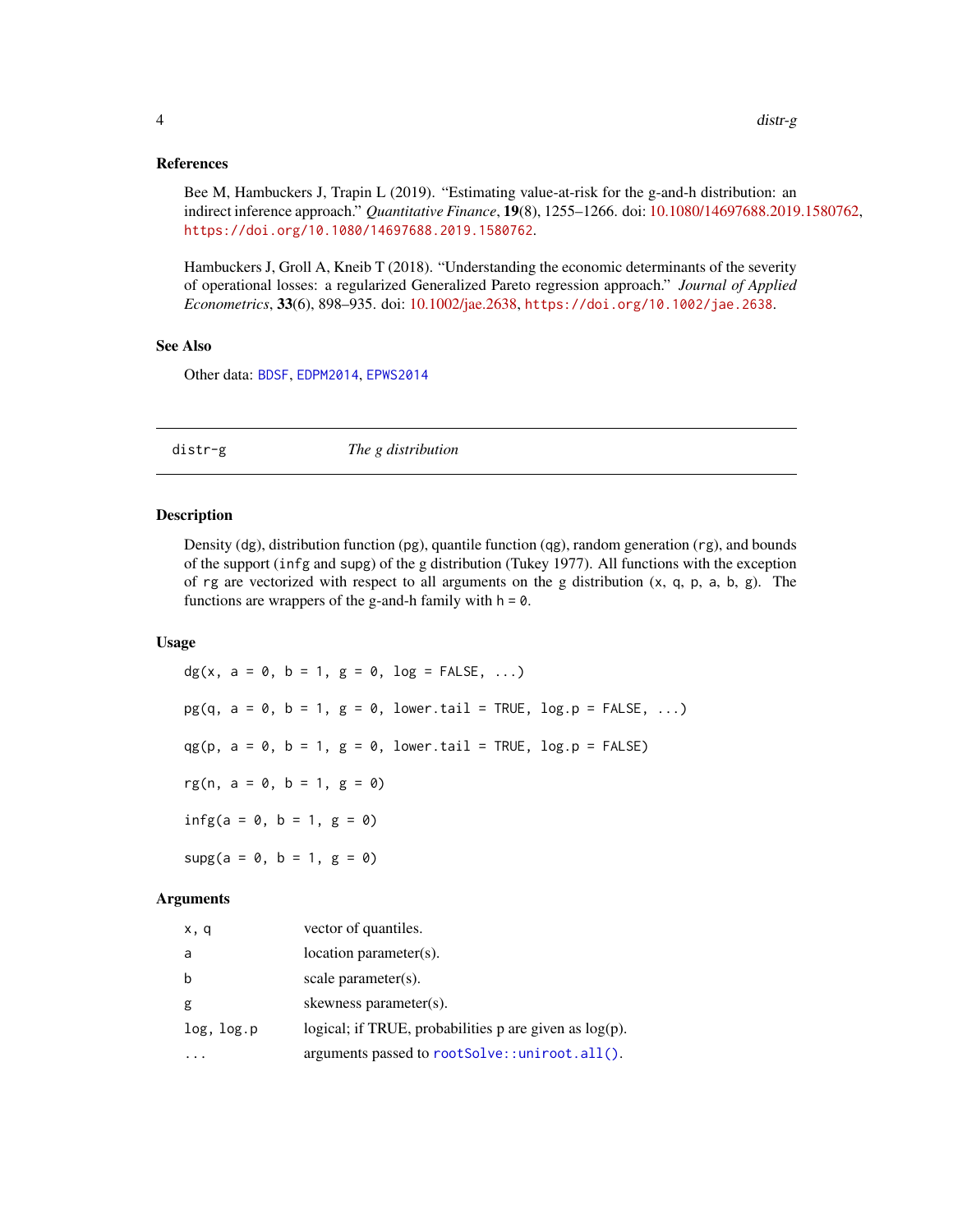#### <span id="page-3-0"></span>References

Bee M, Hambuckers J, Trapin L (2019). "Estimating value-at-risk for the g-and-h distribution: an indirect inference approach." *Quantitative Finance*, 19(8), 1255–1266. doi: [10.1080/14697688.2019.1580762,](https://doi.org/10.1080/14697688.2019.1580762) <https://doi.org/10.1080/14697688.2019.1580762>.

Hambuckers J, Groll A, Kneib T (2018). "Understanding the economic determinants of the severity of operational losses: a regularized Generalized Pareto regression approach." *Journal of Applied Econometrics*, 33(6), 898–935. doi: [10.1002/jae.2638,](https://doi.org/10.1002/jae.2638) <https://doi.org/10.1002/jae.2638>.

#### See Also

Other data: [BDSF](#page-2-2), [EDPM2014](#page-6-1), [EPWS2014](#page-6-2)

distr-g *The g distribution*

#### Description

Density (dg), distribution function (pg), quantile function (qg), random generation (rg), and bounds of the support (infg and supg) of the g distribution (Tukey 1977). All functions with the exception of rg are vectorized with respect to all arguments on the g distribution  $(x, q, p, a, b, g)$ . The functions are wrappers of the g-and-h family with  $h = 0$ .

# Usage

dg(x,  $a = 0$ ,  $b = 1$ ,  $g = 0$ ,  $log =$  FALSE, ...)  $pg(q, a = 0, b = 1, g = 0, lower.tail = TRUE, log.p = FALSE, ...)$  $qg(p, a = 0, b = 1, g = 0, lower.tail = TRUE, log.p = FALSE)$ rg(n,  $a = 0$ ,  $b = 1$ ,  $g = 0$ )  $infg(a = 0, b = 1, g = 0)$  $supg(a = 0, b = 1, g = 0)$ 

#### Arguments

| x, q       | vector of quantiles.                                        |
|------------|-------------------------------------------------------------|
| a          | $location$ parameter $(s)$ .                                |
| b          | scale parameter(s).                                         |
| g          | skewness parameter(s).                                      |
| log, log.p | logical; if TRUE, probabilities $p$ are given as $log(p)$ . |
|            | arguments passed to rootSolve::uniroot.all().               |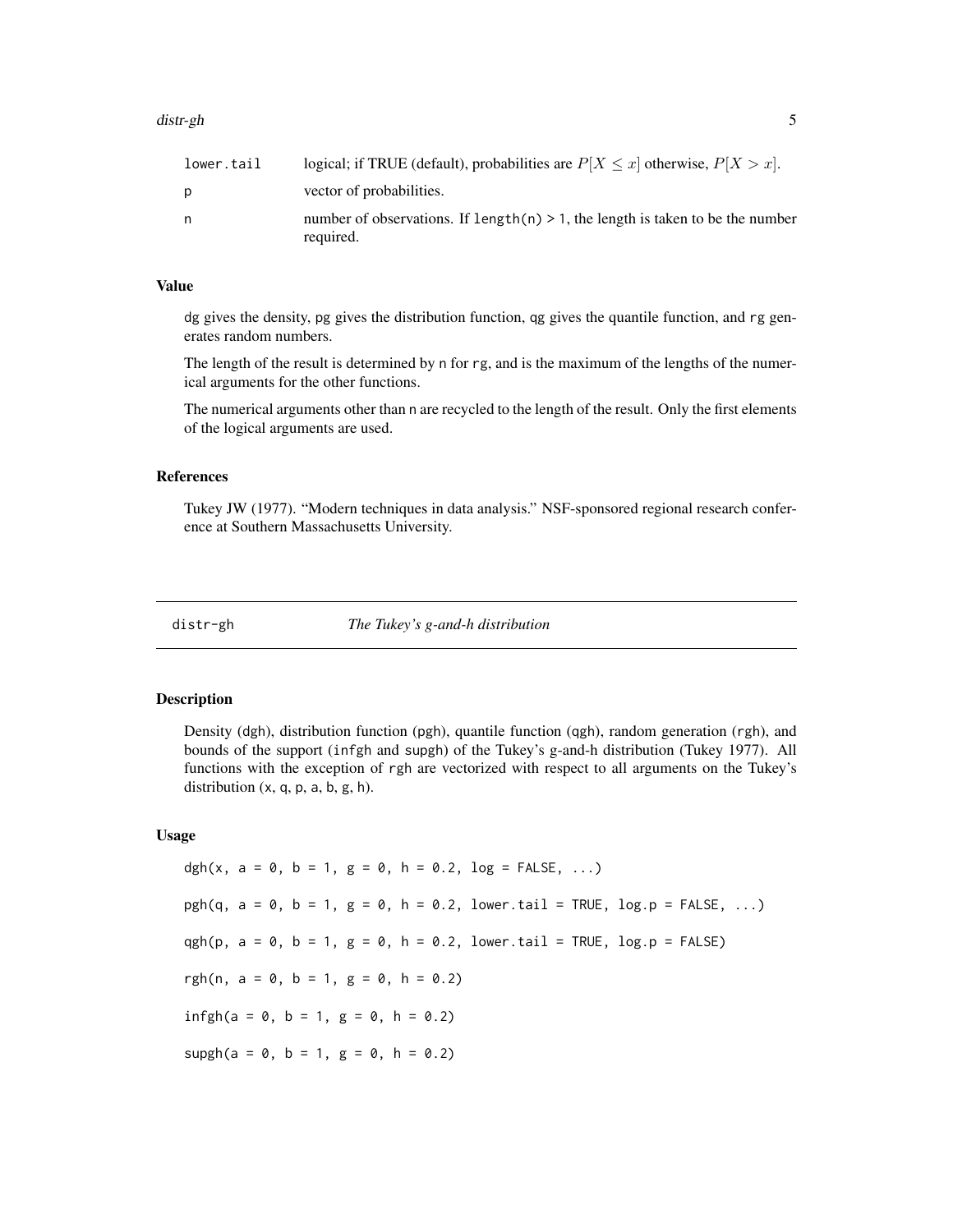#### <span id="page-4-0"></span>distr-gh 5

| lower.tail | logical; if TRUE (default), probabilities are $P[X \le x]$ otherwise, $P[X > x]$ .             |
|------------|------------------------------------------------------------------------------------------------|
|            | vector of probabilities.                                                                       |
| n          | number of observations. If length(n) $> 1$ , the length is taken to be the number<br>required. |

# Value

dg gives the density, pg gives the distribution function, qg gives the quantile function, and rg generates random numbers.

The length of the result is determined by n for rg, and is the maximum of the lengths of the numerical arguments for the other functions.

The numerical arguments other than n are recycled to the length of the result. Only the first elements of the logical arguments are used.

#### References

Tukey JW (1977). "Modern techniques in data analysis." NSF-sponsored regional research conference at Southern Massachusetts University.

#### distr-gh *The Tukey's g-and-h distribution*

## Description

Density (dgh), distribution function (pgh), quantile function (qgh), random generation (rgh), and bounds of the support (infgh and supgh) of the Tukey's g-and-h distribution (Tukey 1977). All functions with the exception of rgh are vectorized with respect to all arguments on the Tukey's distribution  $(x, q, p, a, b, g, h)$ .

#### Usage

dgh(x, a = 0, b = 1, g = 0, h = 0.2, log = FALSE, ...)  $pgh(q, a = 0, b = 1, g = 0, h = 0.2, lower.tail = TRUE, log.p = FALSE, ...)$ qgh(p,  $a = 0$ ,  $b = 1$ ,  $g = 0$ ,  $h = 0.2$ , lower.tail = TRUE, log.p = FALSE) rgh(n,  $a = 0$ ,  $b = 1$ ,  $g = 0$ ,  $h = 0.2$ )  $infgh(a = 0, b = 1, g = 0, h = 0.2)$  $supgh(a = 0, b = 1, g = 0, h = 0.2)$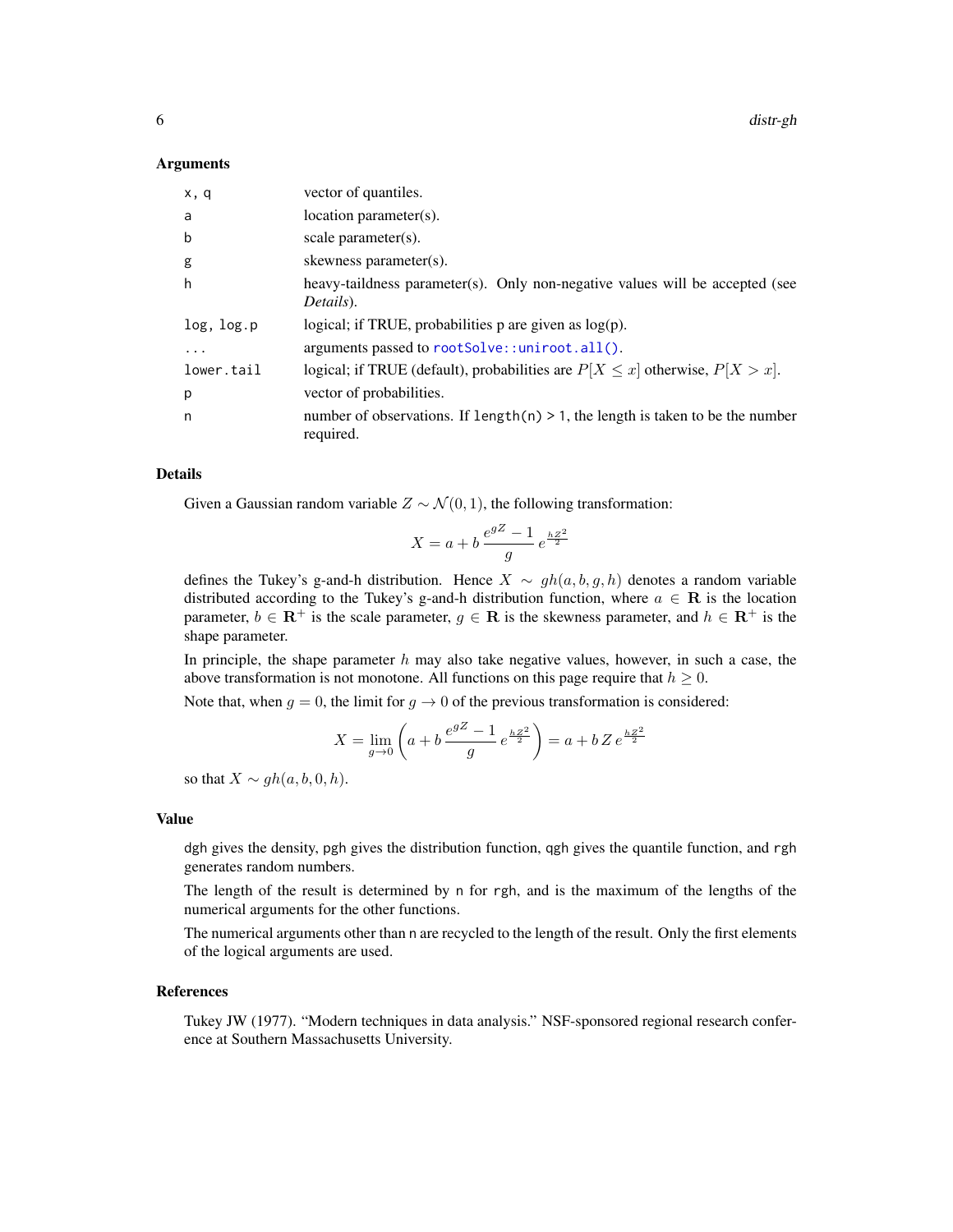<span id="page-5-0"></span>6 distr-gh

#### Arguments

| x, q            | vector of quantiles.                                                                           |
|-----------------|------------------------------------------------------------------------------------------------|
| a               | $location$ parameter $(s)$ .                                                                   |
| b               | scale parameter $(s)$ .                                                                        |
| g               | skewness parameter(s).                                                                         |
| h               | heavy-tail dness parameter(s). Only non-negative values will be accepted (see<br>Details).     |
| $log$ , $log.p$ | logical; if TRUE, probabilities $p$ are given as $log(p)$ .                                    |
|                 | arguments passed to rootSolve::uniroot.all().                                                  |
| lower.tail      | logical; if TRUE (default), probabilities are $P[X \le x]$ otherwise, $P[X > x]$ .             |
| p               | vector of probabilities.                                                                       |
| n               | number of observations. If $length(n) > 1$ , the length is taken to be the number<br>required. |

# Details

Given a Gaussian random variable  $Z \sim \mathcal{N}(0, 1)$ , the following transformation:

$$
X = a + b \frac{e^{gZ} - 1}{g} e^{\frac{hZ^2}{2}}
$$

defines the Tukey's g-and-h distribution. Hence  $X \sim gh(a, b, g, h)$  denotes a random variable distributed according to the Tukey's g-and-h distribution function, where  $a \in \mathbf{R}$  is the location parameter,  $b \in \mathbb{R}^+$  is the scale parameter,  $g \in \mathbb{R}$  is the skewness parameter, and  $h \in \mathbb{R}^+$  is the shape parameter.

In principle, the shape parameter  $h$  may also take negative values, however, in such a case, the above transformation is not monotone. All functions on this page require that  $h \geq 0$ .

Note that, when  $g = 0$ , the limit for  $g \to 0$  of the previous transformation is considered:

$$
X = \lim_{g \to 0} \left( a + b \, \frac{e^{gZ} - 1}{g} \, e^{\frac{hZ^2}{2}} \right) = a + b \, Z \, e^{\frac{hZ^2}{2}}
$$

so that  $X \sim gh(a, b, 0, h)$ .

#### Value

dgh gives the density, pgh gives the distribution function, qgh gives the quantile function, and rgh generates random numbers.

The length of the result is determined by n for rgh, and is the maximum of the lengths of the numerical arguments for the other functions.

The numerical arguments other than n are recycled to the length of the result. Only the first elements of the logical arguments are used.

#### References

Tukey JW (1977). "Modern techniques in data analysis." NSF-sponsored regional research conference at Southern Massachusetts University.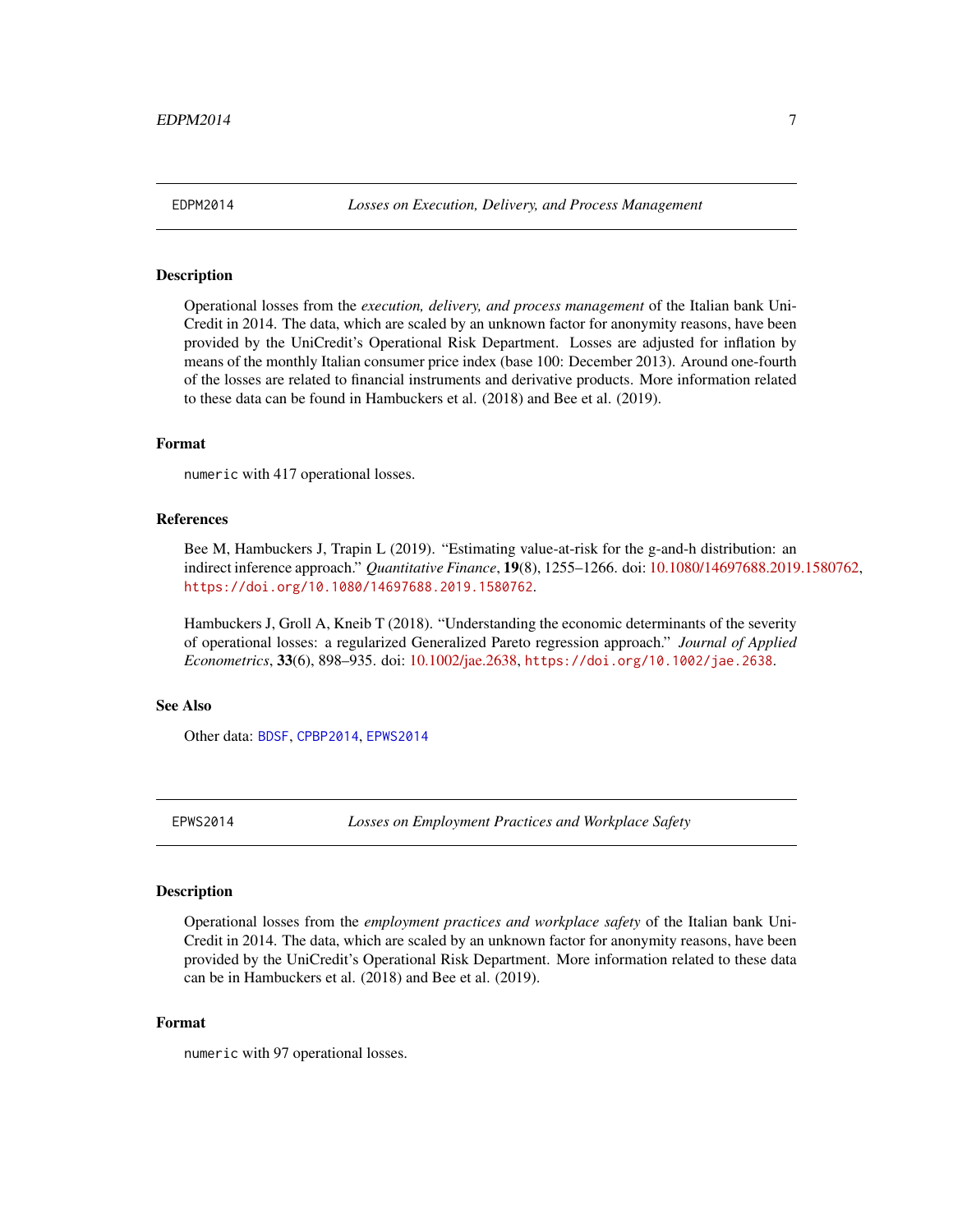<span id="page-6-1"></span><span id="page-6-0"></span>

#### Description

Operational losses from the *execution, delivery, and process management* of the Italian bank Uni-Credit in 2014. The data, which are scaled by an unknown factor for anonymity reasons, have been provided by the UniCredit's Operational Risk Department. Losses are adjusted for inflation by means of the monthly Italian consumer price index (base 100: December 2013). Around one-fourth of the losses are related to financial instruments and derivative products. More information related to these data can be found in Hambuckers et al. (2018) and Bee et al. (2019).

# Format

numeric with 417 operational losses.

#### References

Bee M, Hambuckers J, Trapin L (2019). "Estimating value-at-risk for the g-and-h distribution: an indirect inference approach." *Quantitative Finance*, 19(8), 1255–1266. doi: [10.1080/14697688.2019.1580762,](https://doi.org/10.1080/14697688.2019.1580762) <https://doi.org/10.1080/14697688.2019.1580762>.

Hambuckers J, Groll A, Kneib T (2018). "Understanding the economic determinants of the severity of operational losses: a regularized Generalized Pareto regression approach." *Journal of Applied Econometrics*, 33(6), 898–935. doi: [10.1002/jae.2638,](https://doi.org/10.1002/jae.2638) <https://doi.org/10.1002/jae.2638>.

#### See Also

Other data: [BDSF](#page-2-2), [CPBP2014](#page-2-1), [EPWS2014](#page-6-2)

<span id="page-6-2"></span>EPWS2014 *Losses on Employment Practices and Workplace Safety*

#### Description

Operational losses from the *employment practices and workplace safety* of the Italian bank Uni-Credit in 2014. The data, which are scaled by an unknown factor for anonymity reasons, have been provided by the UniCredit's Operational Risk Department. More information related to these data can be in Hambuckers et al. (2018) and Bee et al. (2019).

#### Format

numeric with 97 operational losses.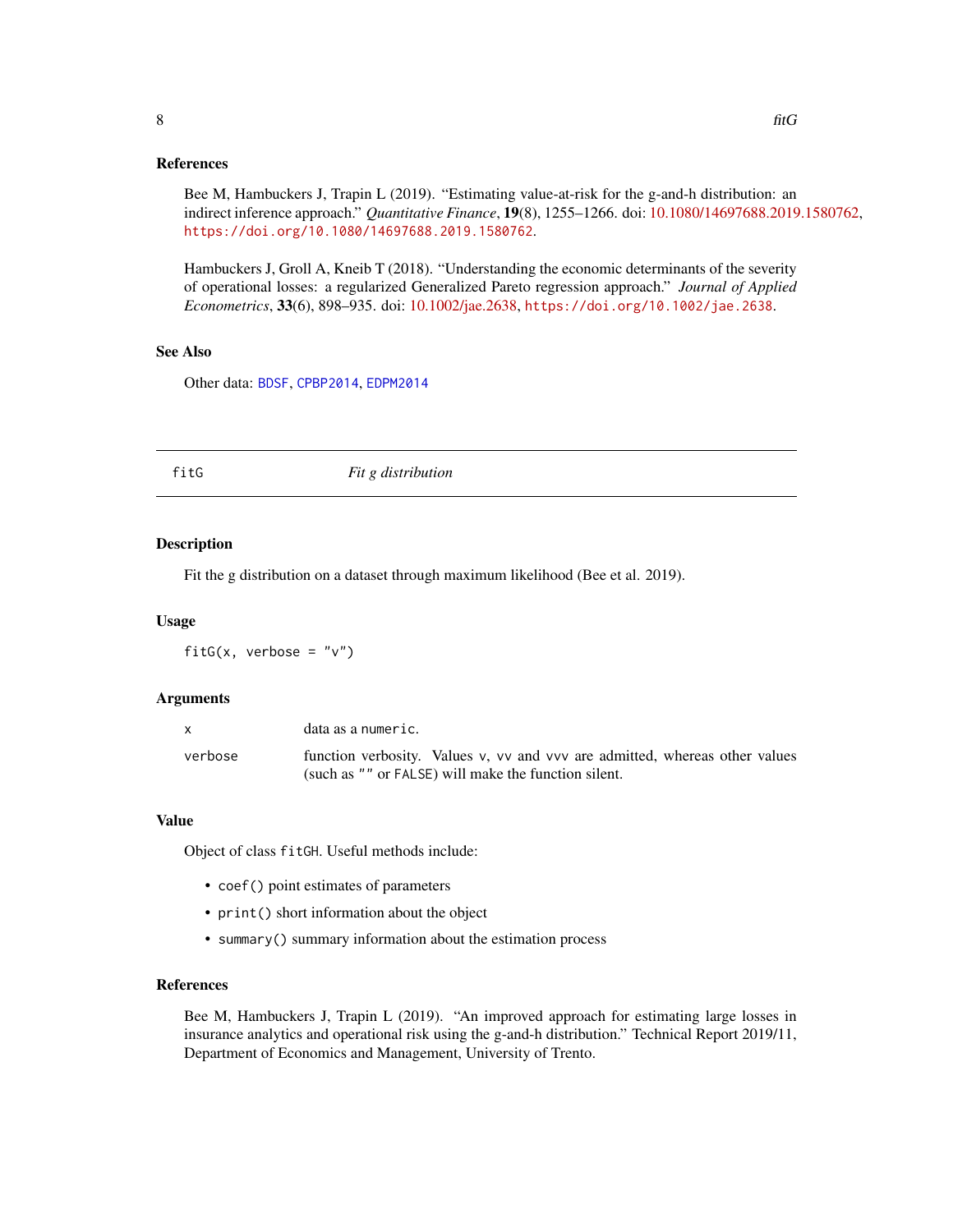#### <span id="page-7-0"></span>References

Bee M, Hambuckers J, Trapin L (2019). "Estimating value-at-risk for the g-and-h distribution: an indirect inference approach." *Quantitative Finance*, 19(8), 1255–1266. doi: [10.1080/14697688.2019.1580762,](https://doi.org/10.1080/14697688.2019.1580762) <https://doi.org/10.1080/14697688.2019.1580762>.

Hambuckers J, Groll A, Kneib T (2018). "Understanding the economic determinants of the severity of operational losses: a regularized Generalized Pareto regression approach." *Journal of Applied Econometrics*, 33(6), 898–935. doi: [10.1002/jae.2638,](https://doi.org/10.1002/jae.2638) <https://doi.org/10.1002/jae.2638>.

#### See Also

Other data: [BDSF](#page-2-2), [CPBP2014](#page-2-1), [EDPM2014](#page-6-1)

#### fitG *Fit g distribution*

#### Description

Fit the g distribution on a dataset through maximum likelihood (Bee et al. 2019).

#### Usage

fitG(x, verbose =  $"v"$ )

#### Arguments

|         | data as a numeric.                                                          |
|---------|-----------------------------------------------------------------------------|
| verbose | function verbosity. Values v, vv and vvv are admitted, whereas other values |
|         | (such as "" or FALSE) will make the function silent.                        |

#### Value

Object of class fitGH. Useful methods include:

- coef() point estimates of parameters
- print() short information about the object
- summary() summary information about the estimation process

#### References

Bee M, Hambuckers J, Trapin L (2019). "An improved approach for estimating large losses in insurance analytics and operational risk using the g-and-h distribution." Technical Report 2019/11, Department of Economics and Management, University of Trento.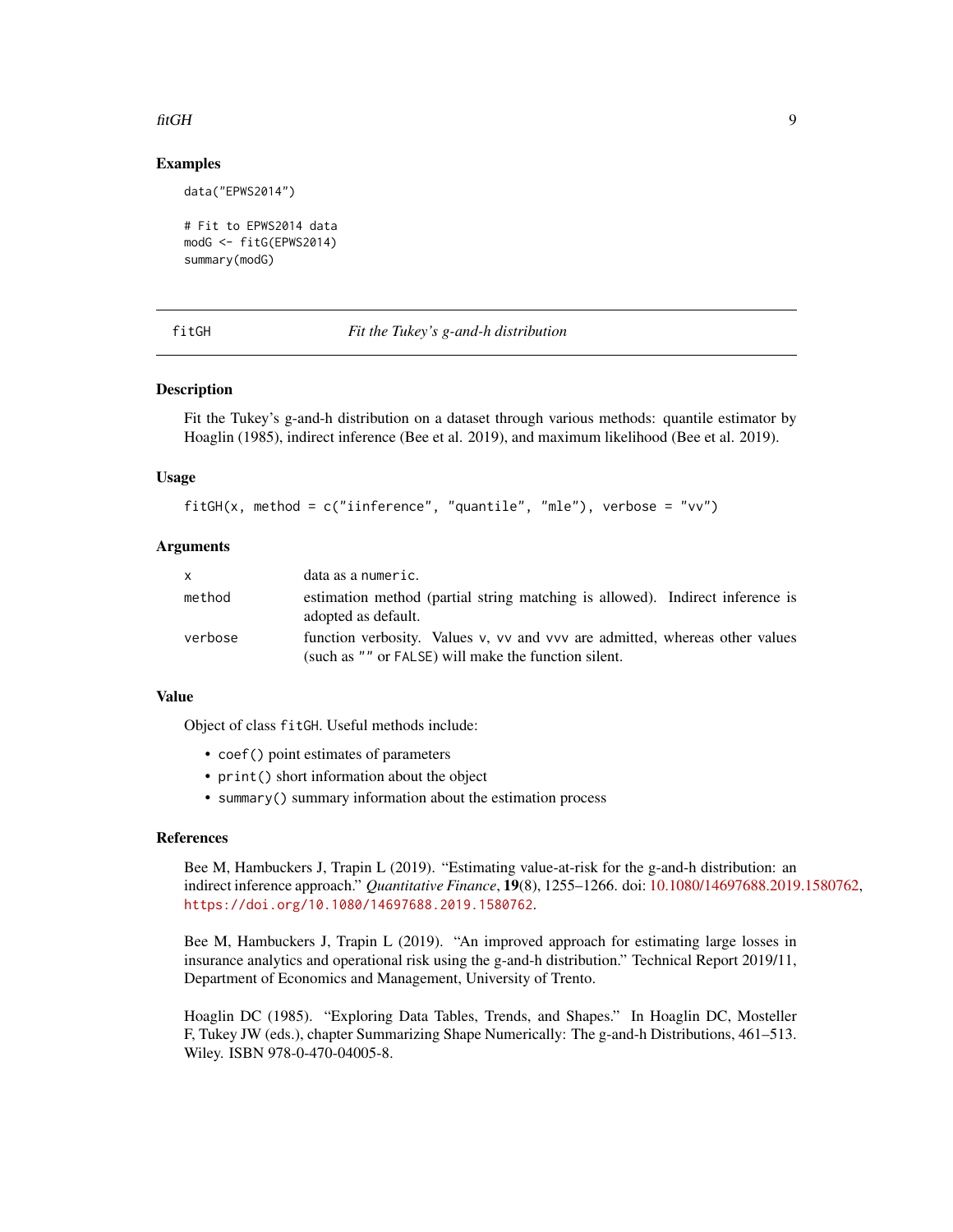#### <span id="page-8-0"></span>fitGH 9

### Examples

data("EPWS2014")

```
# Fit to EPWS2014 data
modG <- fitG(EPWS2014)
summary(modG)
```
<span id="page-8-1"></span>fitGH *Fit the Tukey's g-and-h distribution*

#### **Description**

Fit the Tukey's g-and-h distribution on a dataset through various methods: quantile estimator by Hoaglin (1985), indirect inference (Bee et al. 2019), and maximum likelihood (Bee et al. 2019).

#### Usage

```
fitGH(x, method = c("inference", "quantile", "mle"), verbose = "vv")
```
# Arguments

| X       | data as a numeric.                                                                                                                  |
|---------|-------------------------------------------------------------------------------------------------------------------------------------|
| method  | estimation method (partial string matching is allowed). Indirect inference is<br>adopted as default.                                |
| verbose | function verbosity. Values v, vv and vvv are admitted, whereas other values<br>(such as "" or FALSE) will make the function silent. |

#### Value

Object of class fitGH. Useful methods include:

- coef() point estimates of parameters
- print() short information about the object
- summary() summary information about the estimation process

#### References

Bee M, Hambuckers J, Trapin L (2019). "Estimating value-at-risk for the g-and-h distribution: an indirect inference approach." *Quantitative Finance*, 19(8), 1255–1266. doi: [10.1080/14697688.2019.1580762,](https://doi.org/10.1080/14697688.2019.1580762) <https://doi.org/10.1080/14697688.2019.1580762>.

Bee M, Hambuckers J, Trapin L (2019). "An improved approach for estimating large losses in insurance analytics and operational risk using the g-and-h distribution." Technical Report 2019/11, Department of Economics and Management, University of Trento.

Hoaglin DC (1985). "Exploring Data Tables, Trends, and Shapes." In Hoaglin DC, Mosteller F, Tukey JW (eds.), chapter Summarizing Shape Numerically: The g-and-h Distributions, 461–513. Wiley. ISBN 978-0-470-04005-8.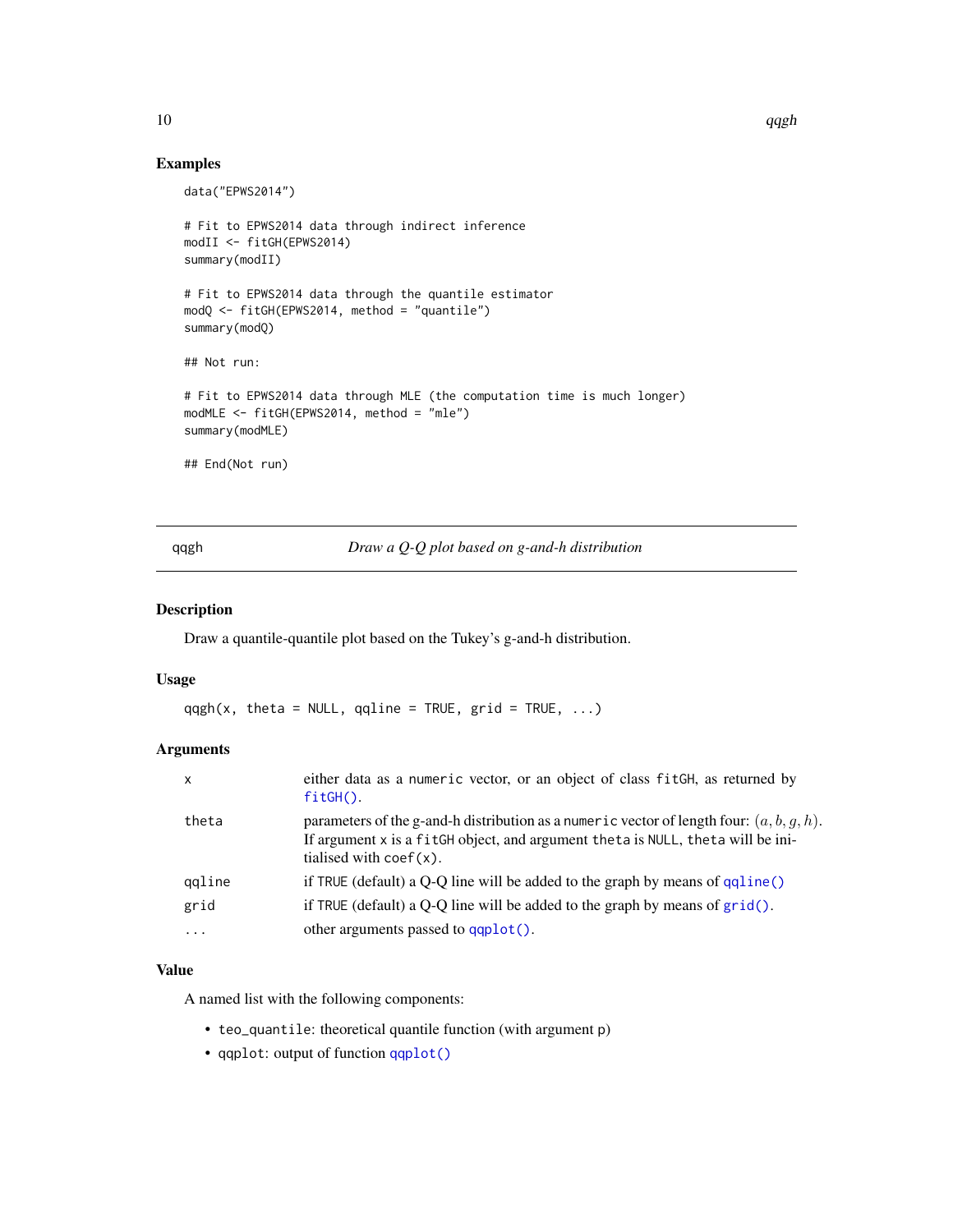# Examples

```
data("EPWS2014")
# Fit to EPWS2014 data through indirect inference
modII <- fitGH(EPWS2014)
summary(modII)
# Fit to EPWS2014 data through the quantile estimator
modQ <- fitGH(EPWS2014, method = "quantile")
summary(modQ)
## Not run:
# Fit to EPWS2014 data through MLE (the computation time is much longer)
modMLE <- fitGH(EPWS2014, method = "mle")
summary(modMLE)
## End(Not run)
```
qqgh *Draw a Q-Q plot based on g-and-h distribution*

#### Description

Draw a quantile-quantile plot based on the Tukey's g-and-h distribution.

#### Usage

```
qqgh(x, theta = NULL, qqline = TRUE, grid = TRUE, ...)
```
# Arguments

| $\mathsf{x}$ | either data as a numeric vector, or an object of class fit GH, as returned by<br>$fitGH()$ .                                                                                                                       |
|--------------|--------------------------------------------------------------------------------------------------------------------------------------------------------------------------------------------------------------------|
| theta        | parameters of the g-and-h distribution as a numeric vector of length four: $(a, b, g, h)$ .<br>If argument x is a fitGH object, and argument theta is NULL, theta will be ini-<br>tialised with $\text{coef}(x)$ . |
| qqline       | if TRUE (default) a $Q-Q$ line will be added to the graph by means of $qqline()$                                                                                                                                   |
| grid         | if TRUE (default) a Q-Q line will be added to the graph by means of $grid()$ .                                                                                                                                     |
| $\ddots$     | other arguments passed to $qqplot()$ .                                                                                                                                                                             |

#### Value

A named list with the following components:

- teo\_quantile: theoretical quantile function (with argument p)
- qqplot: output of function [qqplot\(\)](#page-0-0)

<span id="page-9-0"></span>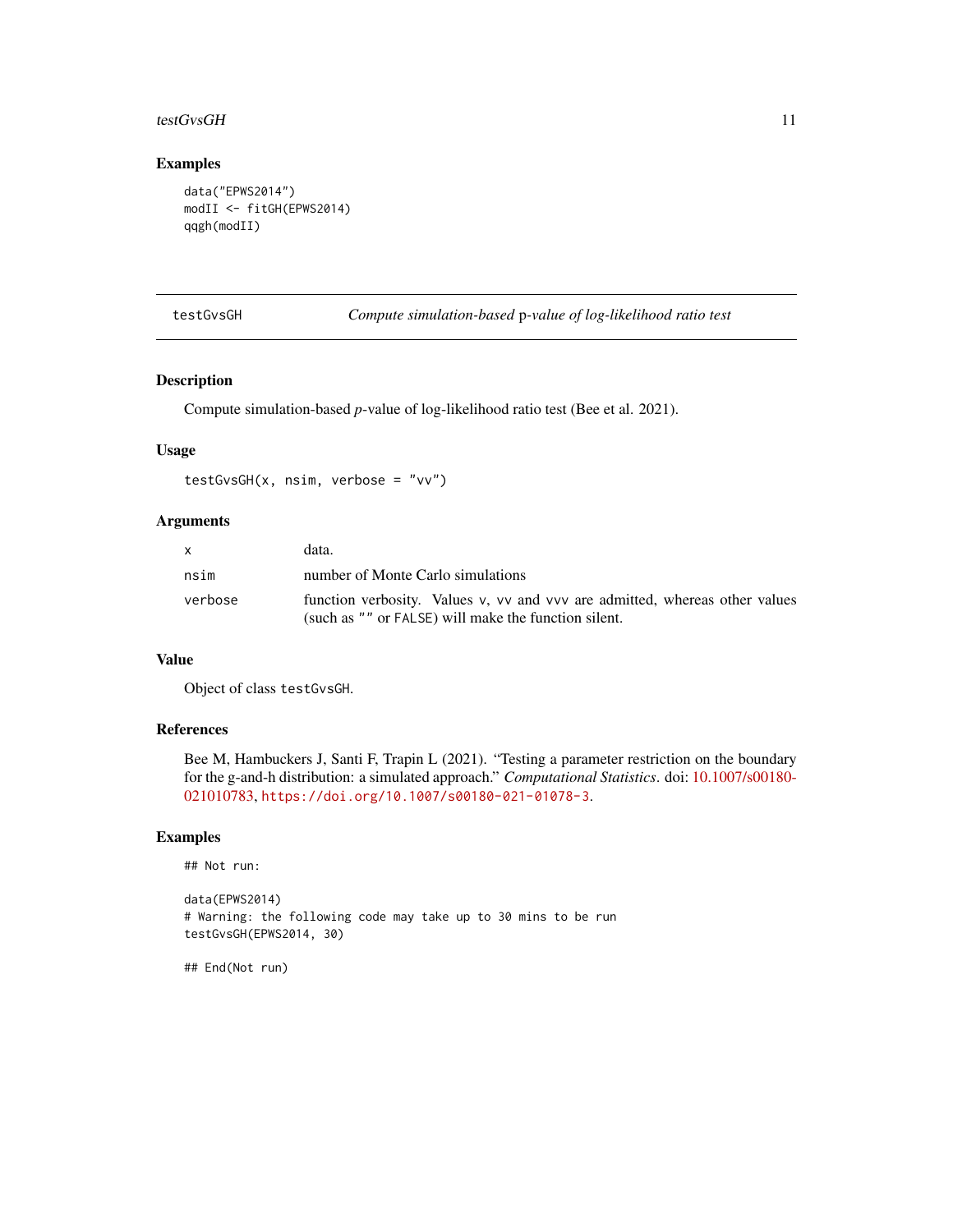#### <span id="page-10-0"></span>testGvsGH 11

# Examples

```
data("EPWS2014")
modII <- fitGH(EPWS2014)
qqgh(modII)
```
testGvsGH *Compute simulation-based* p*-value of log-likelihood ratio test*

# Description

Compute simulation-based *p*-value of log-likelihood ratio test (Bee et al. 2021).

#### Usage

```
testGvsGH(x, nsim, verbose = "vv")
```
# Arguments

| $\mathsf{x}$ | data.                                                                       |
|--------------|-----------------------------------------------------------------------------|
| nsim         | number of Monte Carlo simulations                                           |
| verbose      | function verbosity. Values v, vv and vvv are admitted, whereas other values |
|              | (such as "" or FALSE) will make the function silent.                        |

### Value

Object of class testGvsGH.

#### References

Bee M, Hambuckers J, Santi F, Trapin L (2021). "Testing a parameter restriction on the boundary for the g-and-h distribution: a simulated approach." *Computational Statistics*. doi: [10.1007/s00180-](https://doi.org/10.1007/s00180-021-01078-3) [021010783,](https://doi.org/10.1007/s00180-021-01078-3) <https://doi.org/10.1007/s00180-021-01078-3>.

#### Examples

```
## Not run:
```

```
data(EPWS2014)
# Warning: the following code may take up to 30 mins to be run
testGvsGH(EPWS2014, 30)
```
## End(Not run)